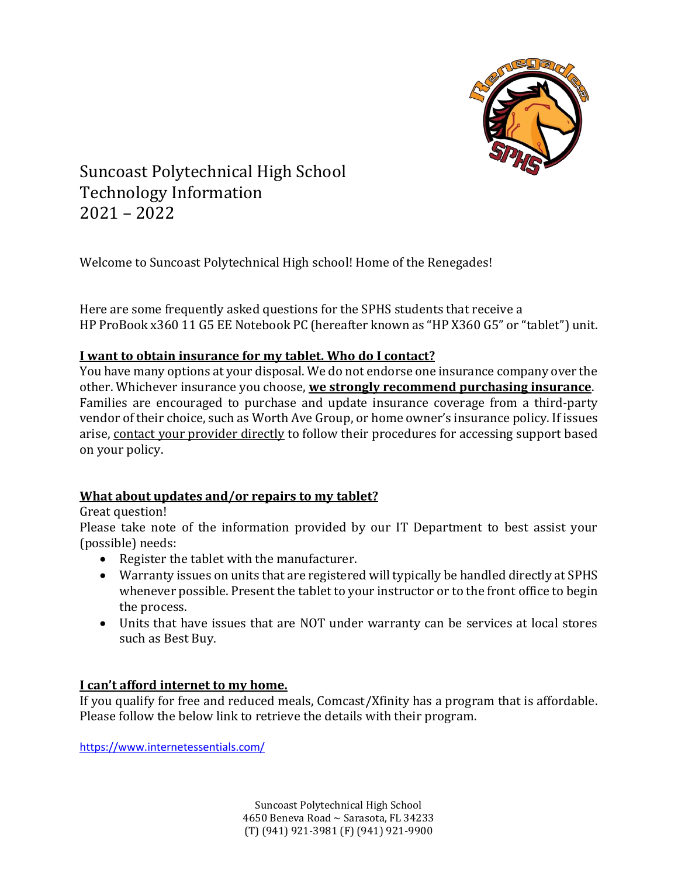

# Suncoast Polytechnical High School Technology Information 2021 – 2022

Welcome to Suncoast Polytechnical High school! Home of the Renegades!

Here are some frequently asked questions for the SPHS students that receive a HP ProBook x360 11 G5 EE Notebook PC (hereafter known as "HP X360 G5" or "tablet") unit.

#### **I want to obtain insurance for my tablet. Who do I contact?**

You have many options at your disposal. We do not endorse one insurance company over the other. Whichever insurance you choose, **we strongly recommend purchasing insurance**. Families are encouraged to purchase and update insurance coverage from a third-party vendor of their choice, such as Worth Ave Group, or home owner's insurance policy. If issues arise, contact your provider directly to follow their procedures for accessing support based on your policy.

### **What about updates and/or repairs to my tablet?**

#### Great question!

Please take note of the information provided by our IT Department to best assist your (possible) needs:

- Register the tablet with the manufacturer.
- Warranty issues on units that are registered will typically be handled directly at SPHS whenever possible. Present the tablet to your instructor or to the front office to begin the process.
- Units that have issues that are NOT under warranty can be services at local stores such as Best Buy.

#### **I can't afford internet to my home.**

If you qualify for free and reduced meals, Comcast/Xfinity has a program that is affordable. Please follow the below link to retrieve the details with their program.

<https://www.internetessentials.com/>

Suncoast Polytechnical High School 4650 Beneva Road  $\sim$  Sarasota, FL 34233 (T) (941) 921-3981 (F) (941) 921-9900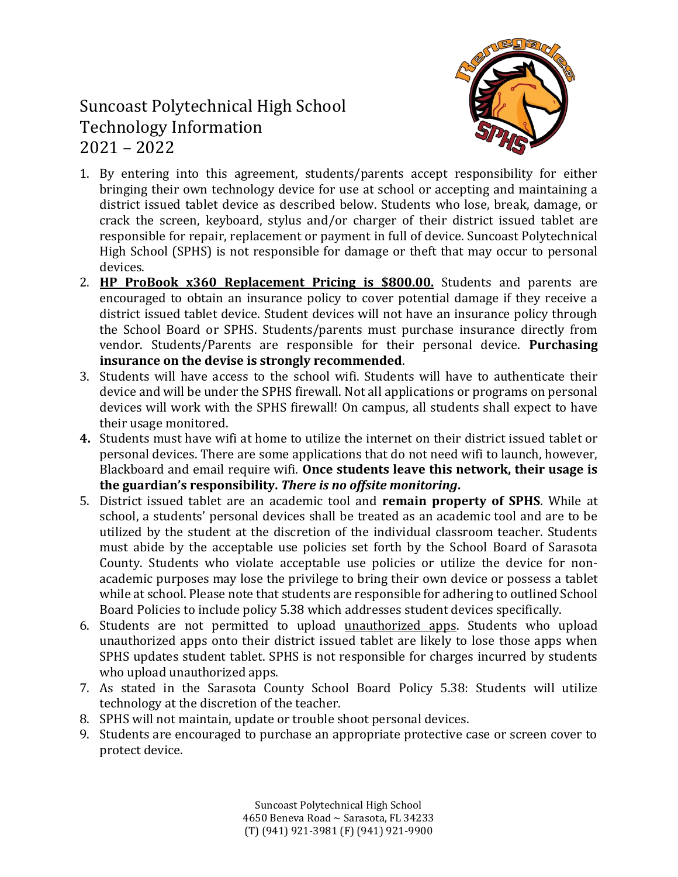

## Suncoast Polytechnical High School Technology Information 2021 – 2022

- 1. By entering into this agreement, students/parents accept responsibility for either bringing their own technology device for use at school or accepting and maintaining a district issued tablet device as described below. Students who lose, break, damage, or crack the screen, keyboard, stylus and/or charger of their district issued tablet are responsible for repair, replacement or payment in full of device. Suncoast Polytechnical High School (SPHS) is not responsible for damage or theft that may occur to personal devices.
- 2. **HP ProBook x360 Replacement Pricing is \$800.00.** Students and parents are encouraged to obtain an insurance policy to cover potential damage if they receive a district issued tablet device. Student devices will not have an insurance policy through the School Board or SPHS. Students/parents must purchase insurance directly from vendor. Students/Parents are responsible for their personal device. **Purchasing insurance on the devise is strongly recommended**.
- 3. Students will have access to the school wifi. Students will have to authenticate their device and will be under the SPHS firewall. Not all applications or programs on personal devices will work with the SPHS firewall! On campus, all students shall expect to have their usage monitored.
- **4.** Students must have wifi at home to utilize the internet on their district issued tablet or personal devices. There are some applications that do not need wifi to launch, however, Blackboard and email require wifi. **Once students leave this network, their usage is the guardian's responsibility.** *There is no offsite monitoring***.**
- 5. District issued tablet are an academic tool and **remain property of SPHS**. While at school, a students' personal devices shall be treated as an academic tool and are to be utilized by the student at the discretion of the individual classroom teacher. Students must abide by the acceptable use policies set forth by the School Board of Sarasota County. Students who violate acceptable use policies or utilize the device for nonacademic purposes may lose the privilege to bring their own device or possess a tablet while at school. Please note that students are responsible for adhering to outlined School Board Policies to include policy 5.38 which addresses student devices specifically.
- 6. Students are not permitted to upload unauthorized apps. Students who upload unauthorized apps onto their district issued tablet are likely to lose those apps when SPHS updates student tablet. SPHS is not responsible for charges incurred by students who upload unauthorized apps.
- 7. As stated in the Sarasota County School Board Policy 5.38: Students will utilize technology at the discretion of the teacher.
- 8. SPHS will not maintain, update or trouble shoot personal devices.
- 9. Students are encouraged to purchase an appropriate protective case or screen cover to protect device.

Suncoast Polytechnical High School 4650 Beneva Road ~ Sarasota, FL 34233 (T) (941) 921-3981 (F) (941) 921-9900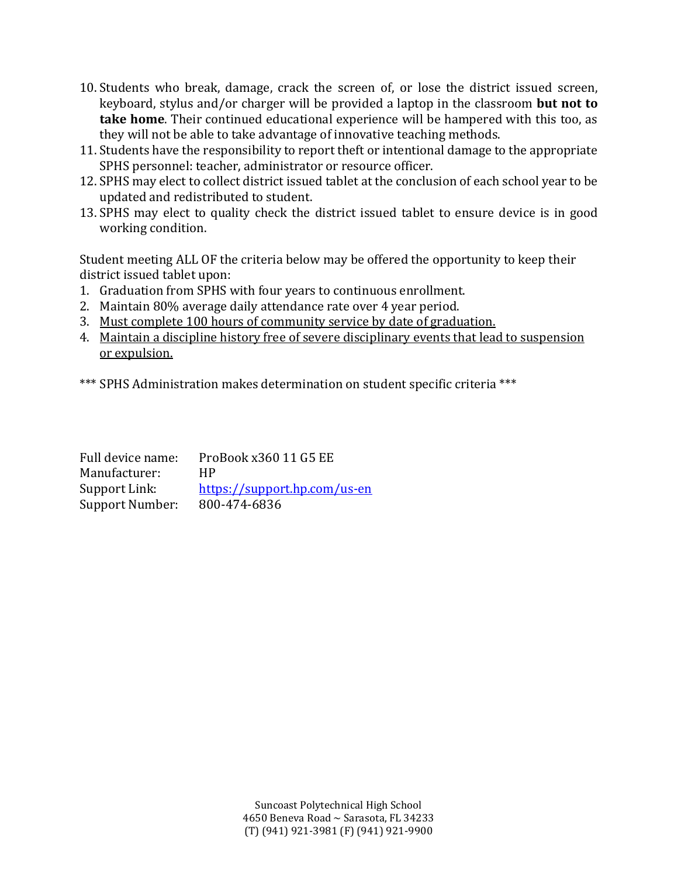- 10. Students who break, damage, crack the screen of, or lose the district issued screen, keyboard, stylus and/or charger will be provided a laptop in the classroom **but not to take home**. Their continued educational experience will be hampered with this too, as they will not be able to take advantage of innovative teaching methods.
- 11. Students have the responsibility to report theft or intentional damage to the appropriate SPHS personnel: teacher, administrator or resource officer.
- 12. SPHS may elect to collect district issued tablet at the conclusion of each school year to be updated and redistributed to student.
- 13. SPHS may elect to quality check the district issued tablet to ensure device is in good working condition.

Student meeting ALL OF the criteria below may be offered the opportunity to keep their district issued tablet upon:

- 1. Graduation from SPHS with four years to continuous enrollment.
- 2. Maintain 80% average daily attendance rate over 4 year period.
- 3. Must complete 100 hours of community service by date of graduation.
- 4. Maintain a discipline history free of severe disciplinary events that lead to suspension or expulsion.

\*\*\* SPHS Administration makes determination on student specific criteria \*\*\*

| Full device name: | ProBook x360 11 G5 EE        |
|-------------------|------------------------------|
| Manufacturer:     | H <sub>P</sub>               |
| Support Link:     | https://support.hp.com/us-en |
| Support Number:   | 800-474-6836                 |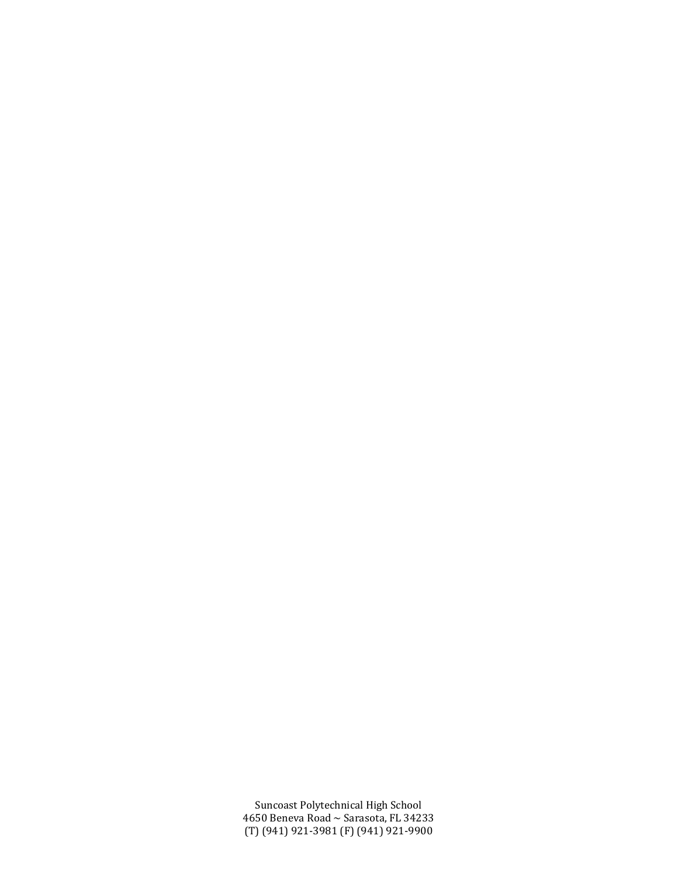Suncoast Polytechnical High School 4650 Beneva Road ~ Sarasota, FL 34233 (T) (941) 921-3981 (F) (941) 921-9900